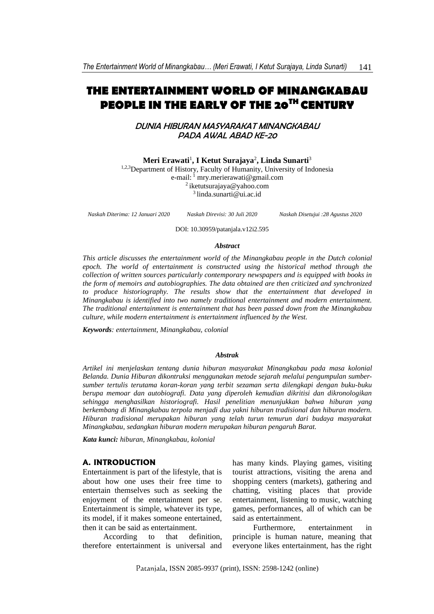# **THE ENTERTAINMENT WORLD OF MINANGKABAU PEOPLE IN THE EARLY OF THE 20TH CENTURY**

DUNIA HIBURAN MASYARAKAT MINANGKABAU PADA AWAL ABAD KE-20

**Meri Erawati**<sup>1</sup> **, I Ketut Surajaya**<sup>2</sup> **, Linda Sunarti**<sup>3</sup>

1,2,3Department of History, Faculty of Humanity, University of Indonesia e-mail: <sup>1</sup> [mry.merierawati@gmail.com](mailto:mry.merierawati@gmail.com) <sup>2</sup> [iketutsurajaya@yahoo.com](mailto:iketutsurajaya@yahoo.com) 3 linda.sunarti@ui.ac.id

*Naskah Diterima: 12 Januari 2020 Naskah Direvisi: 30 Juli 2020 Naskah Disetujui :28 Agustus 2020*

DOI: 10.30959/patanjala.v12i2.595

#### *Abstract*

*This article discusses the entertainment world of the Minangkabau people in the Dutch colonial epoch. The world of entertainment is constructed using the historical method through the collection of written sources particularly contemporary newspapers and is equipped with books in the form of memoirs and autobiographies. The data obtained are then criticized and synchronized to produce historiography. The results show that the entertainment that developed in Minangkabau is identified into two namely traditional entertainment and modern entertainment. The traditional entertainment is entertainment that has been passed down from the Minangkabau culture, while modern entertainment is entertainment influenced by the West.*

*Keywords: entertainment, Minangkabau, colonial*

#### *Abstrak*

*Artikel ini menjelaskan tentang dunia hiburan masyarakat Minangkabau pada masa kolonial Belanda. Dunia Hiburan dikontruksi menggunakan metode sejarah melalui pengumpulan sumbersumber tertulis terutama koran-koran yang terbit sezaman serta dilengkapi dengan buku-buku berupa memoar dan autobiografi. Data yang diperoleh kemudian dikritisi dan dikronologikan sehingga menghasilkan historiografi. Hasil penelitian menunjukkan bahwa hiburan yang berkembang di Minangkabau terpola menjadi dua yakni hiburan tradisional dan hiburan modern. Hiburan tradisional merupakan hiburan yang telah turun temurun dari budaya masyarakat Minangkabau, sedangkan hiburan modern merupakan hiburan pengaruh Barat.*

*Kata kunci: hiburan, Minangkabau, kolonial*

#### **A. INTRODUCTION**

Entertainment is part of the lifestyle, that is about how one uses their free time to entertain themselves such as seeking the enjoyment of the entertainment per se. Entertainment is simple, whatever its type, its model, if it makes someone entertained, then it can be said as entertainment.

According to that definition, therefore entertainment is universal and

has many kinds. Playing games, visiting tourist attractions, visiting the arena and shopping centers (markets), gathering and chatting, visiting places that provide entertainment, listening to music, watching games, performances, all of which can be said as entertainment.

Furthermore, entertainment in principle is human nature, meaning that everyone likes entertainment, has the right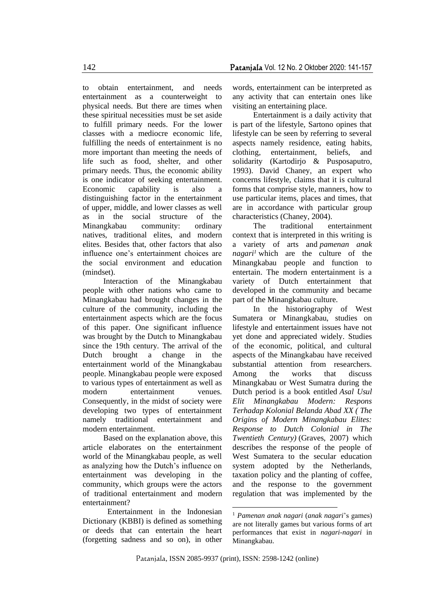to obtain entertainment, and needs entertainment as a counterweight to physical needs. But there are times when these spiritual necessities must be set aside to fulfill primary needs. For the lower classes with a mediocre economic life, fulfilling the needs of entertainment is no more important than meeting the needs of life such as food, shelter, and other primary needs. Thus, the economic ability is one indicator of seeking entertainment. Economic capability is also a distinguishing factor in the entertainment of upper, middle, and lower classes as well as in the social structure of the Minangkabau community: ordinary natives, traditional elites, and modern elites. Besides that, other factors that also influence one's entertainment choices are the social environment and education (mindset).

Interaction of the Minangkabau people with other nations who came to Minangkabau had brought changes in the culture of the community, including the entertainment aspects which are the focus of this paper. One significant influence was brought by the Dutch to Minangkabau since the 19th century. The arrival of the Dutch brought a change in the entertainment world of the Minangkabau people. Minangkabau people were exposed to various types of entertainment as well as modern entertainment venues. Consequently, in the midst of society were developing two types of entertainment namely traditional entertainment and modern entertainment.

Based on the explanation above, this article elaborates on the entertainment world of the Minangkabau people, as well as analyzing how the Dutch's influence on entertainment was developing in the community, which groups were the actors of traditional entertainment and modern entertainment?

 Entertainment in the Indonesian Dictionary (KBBI) is defined as something or deeds that can entertain the heart (forgetting sadness and so on), in other words, entertainment can be interpreted as any activity that can entertain ones like visiting an entertaining place.

Entertainment is a daily activity that is part of the lifestyle, Sartono opines that lifestyle can be seen by referring to several aspects namely residence, eating habits, clothing, entertainment, beliefs, and solidarity (Kartodirjo & Pusposaputro, 1993). David Chaney, an expert who concerns lifestyle, claims that it is cultural forms that comprise style, manners, how to use particular items, places and times, that are in accordance with particular group characteristics (Chaney, 2004).

The traditional entertainment context that is interpreted in this writing is a variety of arts and *pamenan anak nagari<sup>1</sup>* which are the culture of the Minangkabau people and function to entertain. The modern entertainment is a variety of Dutch entertainment that developed in the community and became part of the Minangkabau culture.

In the historiography of West Sumatera or Minangkabau, studies on lifestyle and entertainment issues have not yet done and appreciated widely. Studies of the economic, political, and cultural aspects of the Minangkabau have received substantial attention from researchers. Among the works that discuss Minangkabau or West Sumatra during the Dutch period is a book entitled *Asal Usul Elit Minangkabau Modern: Respons Terhadap Kolonial Belanda Abad XX ( The Origins of Modern Minangkabau Elites: Response to Dutch Colonial in The Twentieth Century)* (Graves, 2007) which describes the response of the people of West Sumatera to the secular education system adopted by the Netherlands, taxation policy and the planting of coffee, and the response to the government regulation that was implemented by the

<sup>1</sup> *Pamenan anak nagari* (*anak nagari*'s games) are not literally games but various forms of art performances that exist in *nagari-nagari* in Minangkabau.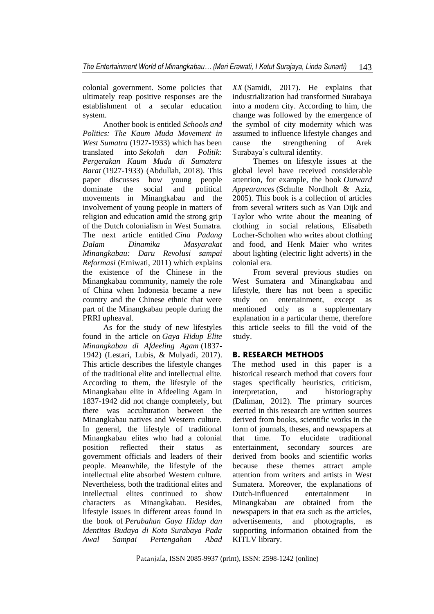colonial government. Some policies that ultimately reap positive responses are the establishment of a secular education system.

Another book is entitled *Schools and Politics: The Kaum Muda Movement in West Sumatra* (1927-1933) which has been translated into *Sekolah dan Politik: Pergerakan Kaum Muda di Sumatera Barat* (1927-1933) (Abdullah, 2018). This paper discusses how young people dominate the social and political movements in Minangkabau and the involvement of young people in matters of religion and education amid the strong grip of the Dutch colonialism in West Sumatra. The next article entitled *Cina Padang Dalam Dinamika Masyarakat Minangkabau: Daru Revolusi sampai Reformasi* (Erniwati, 2011) which explains the existence of the Chinese in the Minangkabau community, namely the role of China when Indonesia became a new country and the Chinese ethnic that were part of the Minangkabau people during the PRRI upheaval.

As for the study of new lifestyles found in the article on *Gaya Hidup Elite Minangkabau di Afdeeling Agam* (1837- 1942) (Lestari, Lubis, & Mulyadi, 2017). This article describes the lifestyle changes of the traditional elite and intellectual elite. According to them, the lifestyle of the Minangkabau elite in Afdeeling Agam in 1837-1942 did not change completely, but there was acculturation between the Minangkabau natives and Western culture. In general, the lifestyle of traditional Minangkabau elites who had a colonial position reflected their status as government officials and leaders of their people. Meanwhile, the lifestyle of the intellectual elite absorbed Western culture. Nevertheless, both the traditional elites and intellectual elites continued to show characters as Minangkabau. Besides, lifestyle issues in different areas found in the book of *Perubahan Gaya Hidup dan Identitas Budaya di Kota Surabaya Pada Awal Sampai Pertengahan Abad* 

*XX* (Samidi, 2017). He explains that industrialization had transformed Surabaya into a modern city. According to him, the change was followed by the emergence of the symbol of city modernity which was assumed to influence lifestyle changes and cause the strengthening of Arek Surabaya's cultural identity.

Themes on lifestyle issues at the global level have received considerable attention, for example, the book *Outward Appearances* (Schulte Nordholt & Aziz, 2005). This book is a collection of articles from several writers such as Van Dijk and Taylor who write about the meaning of clothing in social relations, Elisabeth Locher-Scholten who writes about clothing and food, and Henk Maier who writes about lighting (electric light adverts) in the colonial era.

From several previous studies on West Sumatera and Minangkabau and lifestyle, there has not been a specific study on entertainment, except as mentioned only as a supplementary explanation in a particular theme, therefore this article seeks to fill the void of the study.

## **B. RESEARCH METHODS**

The method used in this paper is a historical research method that covers four stages specifically heuristics, criticism, interpretation, and historiography (Daliman, 2012). The primary sources exerted in this research are written sources derived from books, scientific works in the form of journals, theses, and newspapers at that time. To elucidate traditional entertainment, secondary sources are derived from books and scientific works because these themes attract ample attention from writers and artists in West Sumatera. Moreover, the explanations of Dutch-influenced entertainment in Minangkabau are obtained from the newspapers in that era such as the articles, advertisements, and photographs, as supporting information obtained from the KITLV library.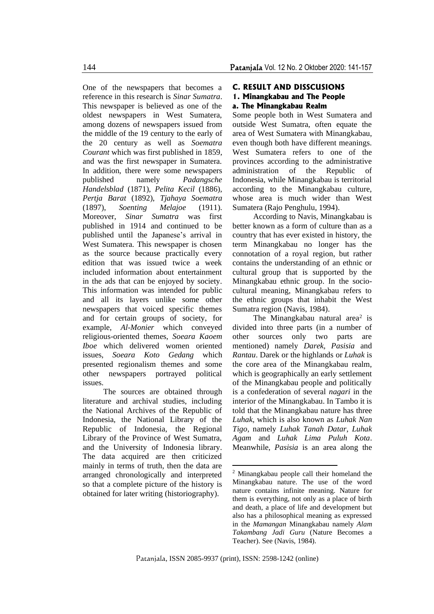One of the newspapers that becomes a reference in this research is *Sinar Sumatra*. This newspaper is believed as one of the oldest newspapers in West Sumatera, among dozens of newspapers issued from the middle of the 19 century to the early of the 20 century as well as *Soematra Courant* which was first published in 1859, and was the first newspaper in Sumatera. In addition, there were some newspapers published namely *Padangsche Handelsblad* (1871), *Pelita Kecil* (1886), *Pertja Barat* (1892), *Tjahaya Soematra* (1897), *Soenting Melajoe* (1911). Moreover, *Sinar Sumatra* was first published in 1914 and continued to be published until the Japanese's arrival in West Sumatera. This newspaper is chosen as the source because practically every edition that was issued twice a week included information about entertainment in the ads that can be enjoyed by society. This information was intended for public and all its layers unlike some other newspapers that voiced specific themes and for certain groups of society, for example, *Al-Monier* which conveyed religious-oriented themes, *Soeara Kaoem Iboe* which delivered women oriented issues, *Soeara Koto Gedang* which presented regionalism themes and some other newspapers portrayed political issues.

The sources are obtained through literature and archival studies, including the National Archives of the Republic of Indonesia, the National Library of the Republic of Indonesia, the Regional Library of the Province of West Sumatra, and the University of Indonesia library. The data acquired are then criticized mainly in terms of truth, then the data are arranged chronologically and interpreted so that a complete picture of the history is obtained for later writing (historiography).

### **C. RESULT AND DISSCUSIONS 1. Minangkabau and The People a. The Minangkabau Realm**

Some people both in West Sumatera and outside West Sumatra, often equate the area of West Sumatera with Minangkabau, even though both have different meanings. West Sumatera refers to one of the provinces according to the administrative administration of the Republic of Indonesia, while Minangkabau is territorial according to the Minangkabau culture, whose area is much wider than West Sumatera (Rajo Penghulu, 1994).

According to Navis, Minangkabau is better known as a form of culture than as a country that has ever existed in history, the term Minangkabau no longer has the connotation of a royal region, but rather contains the understanding of an ethnic or cultural group that is supported by the Minangkabau ethnic group. In the sociocultural meaning, Minangkabau refers to the ethnic groups that inhabit the West Sumatra region (Navis, 1984).

The Minangkabau natural area<sup>2</sup> is divided into three parts (in a number of other sources only two parts are mentioned) namely *Darek, Pasisia* and *Rantau*. Darek or the highlands or *Luhak* is the core area of the Minangkabau realm, which is geographically an early settlement of the Minangkabau people and politically is a confederation of several *nagari* in the interior of the Minangkabau. In Tambo it is told that the Minangkabau nature has three *Luhak*, which is also known as *Luhak Nan Tigo*, namely *Luhak Tanah Datar*, *Luhak Agam* and *Luhak Lima Puluh Kota*. Meanwhile, *Pasisia* is an area along the

<sup>2</sup> Minangkabau people call their homeland the Minangkabau nature. The use of the word nature contains infinite meaning. Nature for them is everything, not only as a place of birth and death, a place of life and development but also has a philosophical meaning as expressed in the *Mamangan* Minangkabau namely *Alam Takambang Jadi Guru* (Nature Becomes a Teacher). See (Navis, 1984).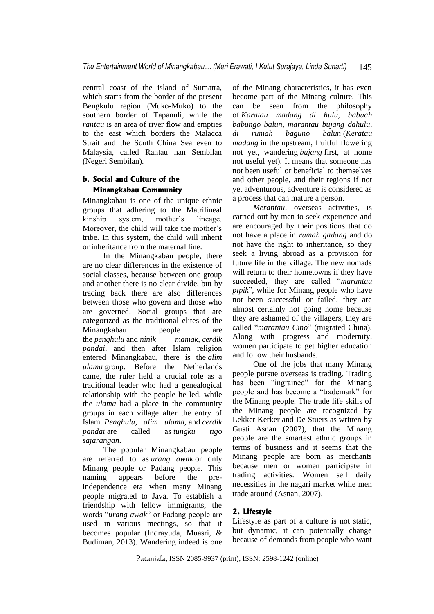central coast of the island of Sumatra, which starts from the border of the present Bengkulu region (Muko-Muko) to the southern border of Tapanuli, while the *rantau* is an area of river flow and empties to the east which borders the Malacca Strait and the South China Sea even to Malaysia, called Rantau nan Sembilan (Negeri Sembilan).

## **b. Social and Culture of the Minangkabau Community**

Minangkabau is one of the unique ethnic groups that adhering to the Matrilineal kinship system, mother's lineage. Moreover, the child will take the mother's tribe. In this system, the child will inherit or inheritance from the maternal line.

In the Minangkabau people, there are no clear differences in the existence of social classes, because between one group and another there is no clear divide, but by tracing back there are also differences between those who govern and those who are governed. Social groups that are categorized as the traditional elites of the Minangkabau people are the *penghulu* and *ninik mamak*, *cerdik pandai*, and then after Islam religion entered Minangkabau, there is the *alim ulama* group. Before the Netherlands came, the ruler held a crucial role as a traditional leader who had a genealogical relationship with the people he led, while the *ulama* had a place in the community groups in each village after the entry of Islam. *Penghulu, alim ulama,* and *cerdik pandai* are called as *tungku tigo sajarangan*.

The popular Minangkabau people are referred to as *urang awak* or only Minang people or Padang people. This naming appears before the preindependence era when many Minang people migrated to Java. To establish a friendship with fellow immigrants, the words "*urang awak*" or Padang people are used in various meetings, so that it becomes popular (Indrayuda, Muasri, & Budiman, 2013). Wandering indeed is one

of the Minang characteristics, it has even become part of the Minang culture. This can be seen from the philosophy of *Karatau madang di hulu, babuah babungo balun, marantau bujang dahulu, di rumah baguno balun* (*Keratau madang* in the upstream, fruitful flowering not yet, wandering *bujang* first, at home not useful yet). It means that someone has not been useful or beneficial to themselves and other people, and their regions if not yet adventurous, adventure is considered as a process that can mature a person.

*Merantau*, overseas activities, is carried out by men to seek experience and are encouraged by their positions that do not have a place in *rumah gadang* and do not have the right to inheritance, so they seek a living abroad as a provision for future life in the village. The new nomads will return to their hometowns if they have succeeded, they are called "*marantau pipik*", while for Minang people who have not been successful or failed, they are almost certainly not going home because they are ashamed of the villagers, they are called "*marantau Cino*" (migrated China). Along with progress and modernity, women participate to get higher education and follow their husbands.

One of the jobs that many Minang people pursue overseas is trading. Trading has been "ingrained" for the Minang people and has become a "trademark" for the Minang people. The trade life skills of the Minang people are recognized by Lekker Kerker and De Stuers as written by Gusti Asnan (2007), that the Minang people are the smartest ethnic groups in terms of business and it seems that the Minang people are born as merchants because men or women participate in trading activities. Women sell daily necessities in the nagari market while men trade around (Asnan, 2007).

### **2. Lifestyle**

Lifestyle as part of a culture is not static, but dynamic, it can potentially change because of demands from people who want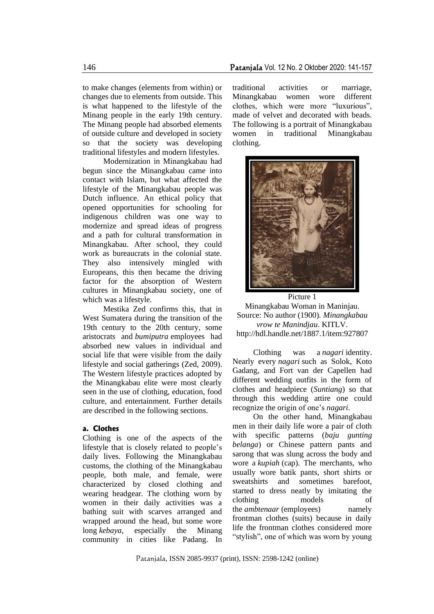to make changes (elements from within) or changes due to elements from outside. This is what happened to the lifestyle of the Minang people in the early 19th century. The Minang people had absorbed elements of outside culture and developed in society so that the society was developing traditional lifestyles and modern lifestyles.

Modernization in Minangkabau had begun since the Minangkabau came into contact with Islam, but what affected the lifestyle of the Minangkabau people was Dutch influence. An ethical policy that opened opportunities for schooling for indigenous children was one way to modernize and spread ideas of progress and a path for cultural transformation in Minangkabau. After school, they could work as bureaucrats in the colonial state. They also intensively mingled with Europeans, this then became the driving factor for the absorption of Western cultures in Minangkabau society, one of which was a lifestyle.

Mestika Zed confirms this, that in West Sumatera during the transition of the 19th century to the 20th century, some aristocrats and *bumiputra* employees had absorbed new values in individual and social life that were visible from the daily lifestyle and social gatherings (Zed, 2009). The Western lifestyle practices adopted by the Minangkabau elite were most clearly seen in the use of clothing, education, food culture, and entertainment. Further details are described in the following sections.

#### **a. Clothes**

Clothing is one of the aspects of the lifestyle that is closely related to people's daily lives. Following the Minangkabau customs, the clothing of the Minangkabau people, both male, and female, were characterized by closed clothing and wearing headgear. The clothing worn by women in their daily activities was a bathing suit with scarves arranged and wrapped around the head, but some wore long *kebaya*, especially the Minang community in cities like Padang. In

traditional activities or marriage, Minangkabau women wore different clothes, which were more "luxurious", made of velvet and decorated with beads. The following is a portrait of Minangkabau women in traditional Minangkabau clothing.



Picture 1 Minangkabau Woman in Maninjau. Source: No author (1900). *Minangkabau vrow te Manindjau*. KITLV. http://hdl.handle.net/1887.1/item:927807

Clothing was a *nagari* identity. Nearly every *nagari* such as Solok, Koto Gadang, and Fort van der Capellen had different wedding outfits in the form of clothes and headpiece (*Suntiang*) so that through this wedding attire one could recognize the origin of one's *nagari*.

On the other hand, Minangkabau men in their daily life wore a pair of cloth with specific patterns (*baju gunting belanga*) or Chinese pattern pants and sarong that was slung across the body and wore a *kupiah* (cap). The merchants, who usually wore batik pants, short shirts or sweatshirts and sometimes barefoot, started to dress neatly by imitating the clothing models of the *ambtenaar* (employees) namely frontman clothes (suits) because in daily life the frontman clothes considered more "stylish", one of which was worn by young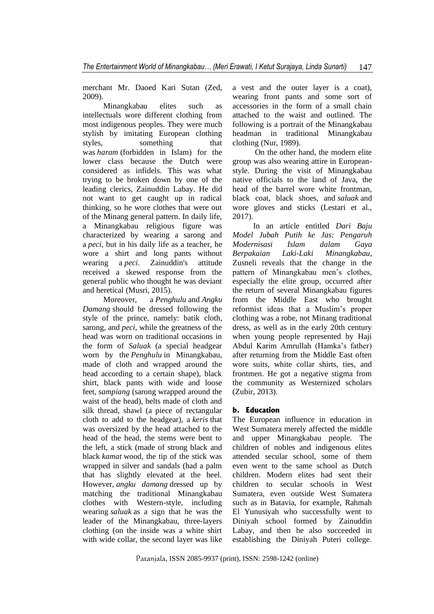merchant Mr. Daoed Kari Sutan (Zed, 2009).

Minangkabau elites such as intellectuals wore different clothing from most indigenous peoples. They were much stylish by imitating European clothing styles, something that was *haram* (forbidden in Islam) for the lower class because the Dutch were considered as infidels. This was what trying to be broken down by one of the leading clerics, Zainuddin Labay. He did not want to get caught up in radical thinking, so he wore clothes that were out of the Minang general pattern. In daily life, a Minangkabau religious figure was characterized by wearing a sarong and a *peci*, but in his daily life as a teacher, he wore a shirt and long pants without wearing a *peci*. Zainuddin's attitude received a skewed response from the general public who thought he was deviant and heretical (Musri, 2015).

Moreover, a *Penghulu* and *Angku Damang* should be dressed following the style of the prince, namely: batik cloth, sarong, and *peci*, while the greatness of the head was worn on traditional occasions in the form of *Saluak* (a special headgear worn by the *Penghulu* in Minangkabau, made of cloth and wrapped around the head according to a certain shape), black shirt, black pants with wide and loose feet, *sampiang* (sarong wrapped around the waist of the head), belts made of cloth and silk thread, shawl (a piece of rectangular cloth to add to the headgear), a *keris* that was oversized by the head attached to the head of the head, the stems were bent to the left, a stick (made of strong black and black *kamat* wood, the tip of the stick was wrapped in silver and sandals (had a palm that has slightly elevated at the heel. However, *angku damang* dressed up by matching the traditional Minangkabau clothes with Western-style, including wearing *saluak* as a sign that he was the leader of the Minangkabau, three-layers clothing (on the inside was a white shirt with wide collar, the second layer was like a vest and the outer layer is a coat), wearing front pants and some sort of accessories in the form of a small chain attached to the waist and outlined. The following is a portrait of the Minangkabau headman in traditional Minangkabau clothing (Nur, 1989).

 On the other hand, the modern elite group was also wearing attire in Europeanstyle. During the visit of Minangkabau native officials to the land of Java, the head of the barrel wore white frontman, black coat, black shoes, and *saluak* and wore gloves and sticks (Lestari et al., 2017).

In an article entitled *Dari Baju Model Jubah Putih ke Jas: Pengaruh Modernisasi Islam dalam Gaya Berpakaian Laki-Laki Minangkabau*, Zusneli reveals that the change in the pattern of Minangkabau men's clothes, especially the elite group, occurred after the return of several Minangkabau figures from the Middle East who brought reformist ideas that a Muslim's proper clothing was a robe, not Minang traditional dress, as well as in the early 20th century when young people represented by Haji Abdul Karim Amrullah (Hamka's father) after returning from the Middle East often wore suits, white collar shirts, ties, and frontmen. He got a negative stigma from the community as Westernized scholars (Zubir, 2013).

## **b. Education**

The European influence in education in West Sumatera merely affected the middle and upper Minangkabau people. The children of nobles and indigenous elites attended secular school, some of them even went to the same school as Dutch children. Modern elites had sent their children to secular schools in West Sumatera, even outside West Sumatera such as in Batavia, for example, Rahmah El Yunusiyah who successfully went to Diniyah school formed by Zainuddin Labay, and then he also succeeded in establishing the Diniyah Puteri college.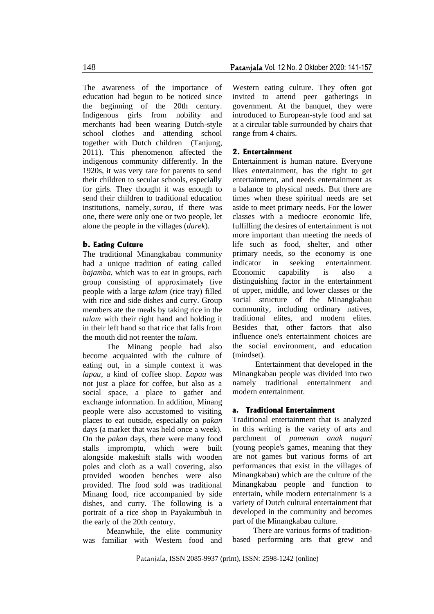The awareness of the importance of education had begun to be noticed since the beginning of the 20th century. Indigenous girls from nobility and merchants had been wearing Dutch-style school clothes and attending school together with Dutch children (Tanjung, 2011). This phenomenon affected the indigenous community differently. In the 1920s, it was very rare for parents to send their children to secular schools, especially for girls. They thought it was enough to send their children to traditional education institutions, namely, *surau*, if there was one, there were only one or two people, let alone the people in the villages (*darek*).

#### **b. Eating Culture**

The traditional Minangkabau community had a unique tradition of eating called *bajamba*, which was to eat in groups, each group consisting of approximately five people with a large *talam* (rice tray) filled with rice and side dishes and curry. Group members ate the meals by taking rice in the *talam* with their right hand and holding it in their left hand so that rice that falls from the mouth did not reenter the *talam*.

The Minang people had also become acquainted with the culture of eating out, in a simple context it was *lapau*, a kind of coffee shop. *Lapau* was not just a place for coffee, but also as a social space, a place to gather and exchange information. In addition, Minang people were also accustomed to visiting places to eat outside, especially on *pakan* days (a market that was held once a week). On the *pakan* days, there were many food stalls impromptu, which were built alongside makeshift stalls with wooden poles and cloth as a wall covering, also provided wooden benches were also provided. The food sold was traditional Minang food, rice accompanied by side dishes, and curry. The following is a portrait of a rice shop in Payakumbuh in the early of the 20th century.

Meanwhile, the elite community was familiar with Western food and Western eating culture. They often got invited to attend peer gatherings in government. At the banquet, they were introduced to European-style food and sat at a circular table surrounded by chairs that

#### **2. Entertainment**

range from 4 chairs.

Entertainment is human nature. Everyone likes entertainment, has the right to get entertainment, and needs entertainment as a balance to physical needs. But there are times when these spiritual needs are set aside to meet primary needs. For the lower classes with a mediocre economic life, fulfilling the desires of entertainment is not more important than meeting the needs of life such as food, shelter, and other primary needs, so the economy is one indicator in seeking entertainment. Economic capability is also a distinguishing factor in the entertainment of upper, middle, and lower classes or the social structure of the Minangkabau community, including ordinary natives, traditional elites, and modern elites. Besides that, other factors that also influence one's entertainment choices are the social environment, and education (mindset).

Entertainment that developed in the Minangkabau people was divided into two namely traditional entertainment and modern entertainment.

#### **a. Traditional Entertainment**

Traditional entertainment that is analyzed in this writing is the variety of arts and parchment of *pamenan anak nagari* (young people's games, meaning that they are not games but various forms of art performances that exist in the villages of Minangkabau) which are the culture of the Minangkabau people and function to entertain, while modern entertainment is a variety of Dutch cultural entertainment that developed in the community and becomes part of the Minangkabau culture.

There are various forms of traditionbased performing arts that grew and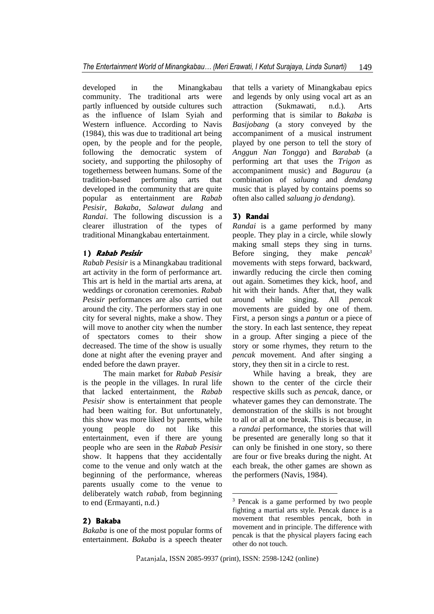developed in the Minangkabau community. The traditional arts were partly influenced by outside cultures such as the influence of Islam Syiah and Western influence. According to Navis (1984), this was due to traditional art being open, by the people and for the people, following the democratic system of society, and supporting the philosophy of togetherness between humans. Some of the tradition-based performing arts that developed in the community that are quite popular as entertainment are *Rabab Pesisir*, *Bakaba*, *Salawat dulang* and *Randai*. The following discussion is a clearer illustration of the types of traditional Minangkabau entertainment.

## **1) Rabab Pesisir**

*Rabab Pesisir* is a Minangkabau traditional art activity in the form of performance art. This art is held in the martial arts arena, at weddings or coronation ceremonies. *Rabab Pesisir* performances are also carried out around the city. The performers stay in one city for several nights, make a show. They will move to another city when the number of spectators comes to their show decreased. The time of the show is usually done at night after the evening prayer and ended before the dawn prayer.

The main market for *Rabab Pesisir* is the people in the villages. In rural life that lacked entertainment, the *Rabab Pesisir* show is entertainment that people had been waiting for. But unfortunately, this show was more liked by parents, while young people do not like this entertainment, even if there are young people who are seen in the *Rabab Pesisir* show. It happens that they accidentally come to the venue and only watch at the beginning of the performance, whereas parents usually come to the venue to deliberately watch *rabab*, from beginning to end (Ermayanti, n.d.)

### **2) Bakaba**

*Bakaba* is one of the most popular forms of entertainment. *Bakaba* is a speech theater

that tells a variety of Minangkabau epics and legends by only using vocal art as an attraction (Sukmawati, n.d.). Arts performing that is similar to *Bakaba* is *Basijobang* (a story conveyed by the accompaniment of a musical instrument played by one person to tell the story of *Anggun Nan Tongga*) and *Barabab* (a performing art that uses the *Trigon* as accompaniment music) and *Bagurau* (a combination of *saluang* and *dendang*  music that is played by contains poems so often also called *saluang jo dendang*).

#### **3) Randai**

*Randai* is a game performed by many people. They play in a circle, while slowly making small steps they sing in turns. Before singing, they make *pencak<sup>3</sup>* movements with steps forward, backward, inwardly reducing the circle then coming out again. Sometimes they kick, hoof, and hit with their hands. After that, they walk around while singing. All *pencak* movements are guided by one of them. First, a person sings a *pantun* or a piece of the story. In each last sentence, they repeat in a group. After singing a piece of the story or some rhymes, they return to the *pencak* movement. And after singing a story, they then sit in a circle to rest.

While having a break, they are shown to the center of the circle their respective skills such as *pencak*, dance, or whatever games they can demonstrate. The demonstration of the skills is not brought to all or all at one break. This is because, in a *randai* performance, the stories that will be presented are generally long so that it can only be finished in one story, so there are four or five breaks during the night. At each break, the other games are shown as the performers (Navis, 1984).

<sup>3</sup> Pencak is a game performed by two people fighting a martial arts style. Pencak dance is a movement that resembles pencak, both in movement and in principle. The difference with pencak is that the physical players facing each other do not touch.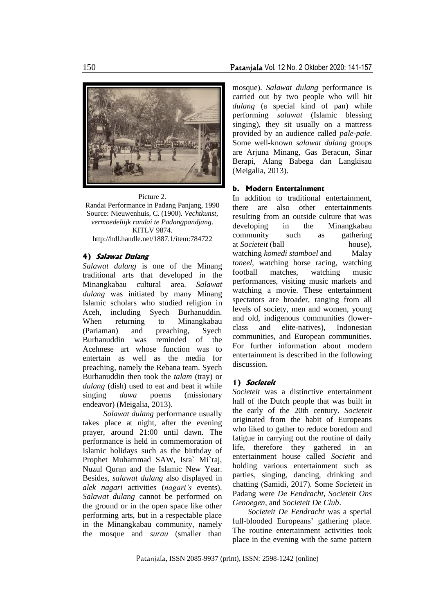

Picture 2. Randai Performance in Padang Panjang, 1990 Source: Nieuwenhuis, C. (1900). *Vechtkunst, vermoedeliijk randai te Padangpandjang*. KITLV 9874. http://hdl.handle.net/1887.1/item:784722

### **4) Salawat Dulang**

*Salawat dulang* is one of the Minang traditional arts that developed in the Minangkabau cultural area. *Salawat dulang* was initiated by many Minang Islamic scholars who studied religion in Aceh, including Syech Burhanuddin. When returning to Minangkabau (Pariaman) and preaching, Syech Burhanuddin was reminded of the Acehnese art whose function was to entertain as well as the media for preaching, namely the Rebana team. Syech Burhanuddin then took the *talam* (tray) or *dulang* (dish) used to eat and beat it while singing *dawa* poems (missionary endeavor) (Meigalia, 2013).

*Salawat dulang* performance usually takes place at night, after the evening prayer, around 21:00 until dawn. The performance is held in commemoration of Islamic holidays such as the birthday of Prophet Muhammad SAW, Isra` Mi`raj, Nuzul Quran and the Islamic New Year. Besides, *salawat dulang* also displayed in *alek nagari* activities (*nagari's* events). *Salawat dulang* cannot be performed on the ground or in the open space like other performing arts, but in a respectable place in the Minangkabau community, namely the mosque and *surau* (smaller than

mosque). *Salawat dulang* performance is carried out by two people who will hit *dulang* (a special kind of pan) while performing *salawat* (Islamic blessing singing), they sit usually on a mattress provided by an audience called *pale-pale*. Some well-known *salawat dulang* groups are Arjuna Minang, Gas Beracun, Sinar Berapi, Alang Babega dan Langkisau (Meigalia, 2013).

### **b. Modern Entertainment**

In addition to traditional entertainment, there are also other entertainments resulting from an outside culture that was developing in the Minangkabau community such as gathering at *Societeit* (ball house), watching *komedi stamboel* and Malay *toneel*, watching horse racing, watching football matches, watching music performances, visiting music markets and watching a movie. These entertainment spectators are broader, ranging from all levels of society, men and women, young and old, indigenous communities (lowerclass and elite-natives), Indonesian communities, and European communities. For further information about modern entertainment is described in the following discussion.

## **1) Societeit**

*Societeit* was a distinctive entertainment hall of the Dutch people that was built in the early of the 20th century. *Societeit*  originated from the habit of Europeans who liked to gather to reduce boredom and fatigue in carrying out the routine of daily life, therefore they gathered in an entertainment house called *Societit* and holding various entertainment such as parties, singing, dancing, drinking and chatting (Samidi, 2017). Some *Societeit* in Padang were *De Eendracht, Societeit Ons Genoegen,* and *Societeit De Club*.

*Societeit De Eendracht* was a special full-blooded Europeans' gathering place. The routine entertainment activities took place in the evening with the same pattern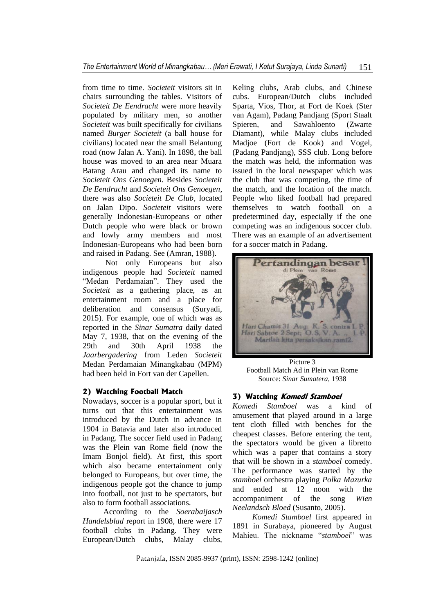from time to time. *Societeit* visitors sit in chairs surrounding the tables. Visitors of *Societeit De Eendracht* were more heavily populated by military men, so another *Societeit* was built specifically for civilians named *Burger Societeit* (a ball house for civilians) located near the small Belantung road (now Jalan A. Yani). In 1898, the ball house was moved to an area near Muara Batang Arau and changed its name to *Societeit Ons Genoegen*. Besides *Societeit De Eendracht* and *Societeit Ons Genoegen*, there was also *Societeit De Club*, located on Jalan Dipo. *Societeit* visitors were generally Indonesian-Europeans or other Dutch people who were black or brown and lowly army members and most Indonesian-Europeans who had been born and raised in Padang. See (Amran, 1988).

Not only Europeans but also indigenous people had *Societeit* named "Medan Perdamaian". They used the *Societeit* as a gathering place, as an entertainment room and a place for deliberation and consensus (Suryadi, 2015). For example, one of which was as reported in the *Sinar Sumatra* daily dated May 7, 1938, that on the evening of the 29th and 30th April 1938 the *Jaarbergadering* from Leden *Societeit* Medan Perdamaian Minangkabau (MPM) had been held in Fort van der Capellen.

## **2) Watching Football Match**

Nowadays, soccer is a popular sport, but it turns out that this entertainment was introduced by the Dutch in advance in 1904 in Batavia and later also introduced in Padang. The soccer field used in Padang was the Plein van Rome field (now the Imam Bonjol field). At first, this sport which also became entertainment only belonged to Europeans, but over time, the indigenous people got the chance to jump into football, not just to be spectators, but also to form football associations.

According to the *Soerabaijasch Handelsblad* report in 1908, there were 17 football clubs in Padang. They were European/Dutch clubs, Malay clubs,

Keling clubs, Arab clubs, and Chinese cubs. European/Dutch clubs included Sparta, Vios, Thor, at Fort de Koek (Ster van Agam), Padang Pandjang (Sport Staalt Spieren, and Sawahloento (Zwarte Diamant), while Malay clubs included Madjoe (Fort de Kook) and Vogel, (Padang Pandjang), SSS club. Long before the match was held, the information was issued in the local newspaper which was the club that was competing, the time of the match, and the location of the match. People who liked football had prepared themselves to watch football on a predetermined day, especially if the one competing was an indigenous soccer club. There was an example of an advertisement for a soccer match in Padang.



Picture 3 Football Match Ad in Plein van Rome Source: *Sinar Sumatera*, 1938

### **3) Watching Komedi Stamboel**

*Komedi Stamboel* was a kind of amusement that played around in a large tent cloth filled with benches for the cheapest classes. Before entering the tent, the spectators would be given a libretto which was a paper that contains a story that will be shown in a *stamboel* comedy. The performance was started by the *stamboel* orchestra playing *Polka Mazurka* and ended at 12 noon with the accompaniment of the song *Wien Neelandsch Bloed* (Susanto, 2005).

*Komedi Stamboel* first appeared in 1891 in Surabaya, pioneered by August Mahieu. The nickname "*stamboel*" was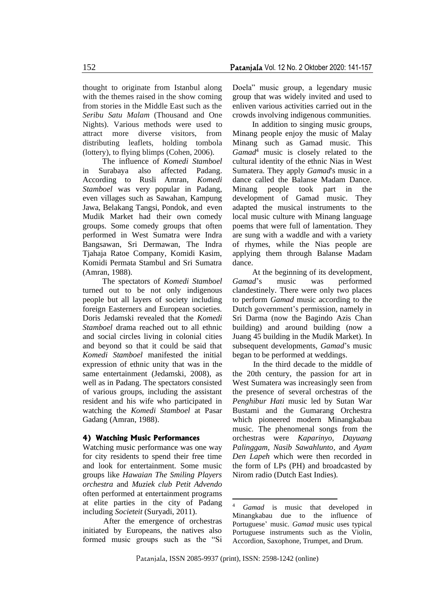thought to originate from Istanbul along with the themes raised in the show coming from stories in the Middle East such as the *Seribu Satu Malam* (Thousand and One Nights). Various methods were used to attract more diverse visitors, from distributing leaflets, holding tombola (lottery), to flying blimps (Cohen, 2006).

The influence of *Komedi Stamboel* in Surabaya also affected Padang. According to Rusli Amran, *Komedi Stamboel* was very popular in Padang, even villages such as Sawahan, Kampung Jawa, Belakang Tangsi, Pondok, and even Mudik Market had their own comedy groups. Some comedy groups that often performed in West Sumatra were Indra Bangsawan, Sri Dermawan, The Indra Tjahaja Ratoe Company, Komidi Kasim, Komidi Permata Stambul and Sri Sumatra (Amran, 1988).

The spectators of *Komedi Stamboel* turned out to be not only indigenous people but all layers of society including foreign Easterners and European societies. Doris Jedamski revealed that the *Komedi Stamboel* drama reached out to all ethnic and social circles living in colonial cities and beyond so that it could be said that *Komedi Stamboel* manifested the initial expression of ethnic unity that was in the same entertainment (Jedamski, 2008), as well as in Padang. The spectators consisted of various groups, including the assistant resident and his wife who participated in watching the *Komedi Stamboel* at Pasar Gadang (Amran, 1988).

#### **4) Watching Music Performances**

Watching music performance was one way for city residents to spend their free time and look for entertainment. Some music groups like *Hawaian The Smiling Players orchestra* and *Muziek club Petit Advendo* often performed at entertainment programs at elite parties in the city of Padang including *Societeit* (Suryadi, 2011).

After the emergence of orchestras initiated by Europeans, the natives also formed music groups such as the "Si Doela" music group, a legendary music group that was widely invited and used to enliven various activities carried out in the crowds involving indigenous communities.

In addition to singing music groups, Minang people enjoy the music of Malay Minang such as Gamad music. This *Gamad*<sup>4</sup> music is closely related to the cultural identity of the ethnic Nias in West Sumatera. They apply *Gamad*'s music in a dance called the Balanse Madam Dance. Minang people took part in the development of Gamad music. They adapted the musical instruments to the local music culture with Minang language poems that were full of lamentation. They are sung with a waddle and with a variety of rhymes, while the Nias people are applying them through Balanse Madam dance.

At the beginning of its development, *Gamad*'s music was performed clandestinely. There were only two places to perform *Gamad* music according to the Dutch government's permission, namely in Sri Darma (now the Bagindo Azis Chan building) and around building (now a Juang 45 building in the Mudik Market). In subsequent developments, *Gamad*'s music began to be performed at weddings.

In the third decade to the middle of the 20th century, the passion for art in West Sumatera was increasingly seen from the presence of several orchestras of the *Penghibur Hati* music led by Sutan War Bustami and the Gumarang Orchestra which pioneered modern Minangkabau music. The phenomenal songs from the orchestras were *Kaparinyo, Dayuang Palinggam, Nasib Sawahlunto,* and *Ayam Den Lapeh* which were then recorded in the form of LPs (PH) and broadcasted by Nirom radio (Dutch East Indies).

Gamad is music that developed in Minangkabau due to the influence of Portuguese' music. *Gamad* music uses typical Portuguese instruments such as the Violin, Accordion, Saxophone, Trumpet, and Drum.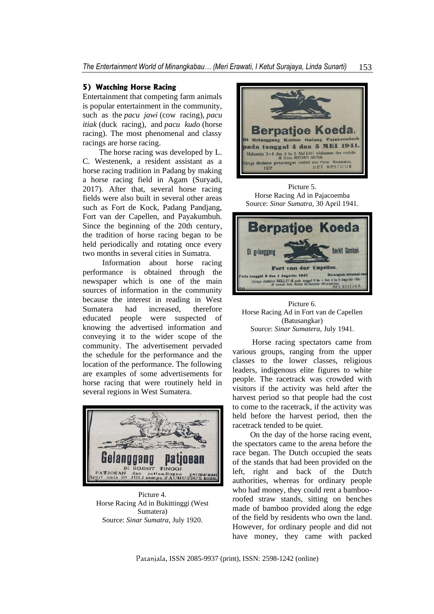### **5) Watching Horse Racing**

Entertainment that competing farm animals is popular entertainment in the community, such as the *pacu jawi* (cow racing), *pacu itiak* (duck racing), and *pacu kudo* (horse racing). The most phenomenal and classy racings are horse racing.

 The horse racing was developed by L. C. Westenenk, a resident assistant as a horse racing tradition in Padang by making a horse racing field in Agam (Suryadi, 2017). After that, several horse racing fields were also built in several other areas such as Fort de Kock, Padang Pandjang, Fort van der Capellen, and Payakumbuh. Since the beginning of the 20th century, the tradition of horse racing began to be held periodically and rotating once every two months in several cities in Sumatra.

Information about horse racing performance is obtained through the newspaper which is one of the main sources of information in the community because the interest in reading in West Sumatera had increased, therefore educated people were suspected of knowing the advertised information and conveying it to the wider scope of the community. The advertisement pervaded the schedule for the performance and the location of the performance. The following are examples of some advertisements for horse racing that were routinely held in several regions in West Sumatera.



Picture 4. Horse Racing Ad in Bukittinggi (West Sumatera) Source: *Sinar Sumatra*, July 1920.



Picture 5. Horse Racing Ad in Pajacoemba Source: *Sinar Sumatra*, 30 April 1941.



Picture 6. Horse Racing Ad in Fort van de Capellen (Batusangkar) Source: *Sinar Sumatera*, July 1941.

Horse racing spectators came from various groups, ranging from the upper classes to the lower classes, religious leaders, indigenous elite figures to white people. The racetrack was crowded with visitors if the activity was held after the harvest period so that people had the cost to come to the racetrack, if the activity was held before the harvest period, then the racetrack tended to be quiet.

 On the day of the horse racing event, the spectators came to the arena before the race began. The Dutch occupied the seats of the stands that had been provided on the left, right and back of the Dutch authorities, whereas for ordinary people who had money, they could rent a bambooroofed straw stands, sitting on benches made of bamboo provided along the edge of the field by residents who own the land. However, for ordinary people and did not have money, they came with packed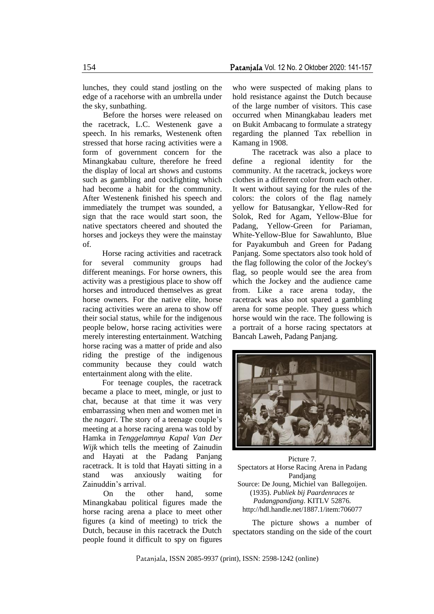lunches, they could stand jostling on the edge of a racehorse with an umbrella under the sky, sunbathing.

 Before the horses were released on the racetrack, L.C. Westenenk gave a speech. In his remarks, Westenenk often stressed that horse racing activities were a form of government concern for the Minangkabau culture, therefore he freed the display of local art shows and customs such as gambling and cockfighting which had become a habit for the community. After Westenenk finished his speech and immediately the trumpet was sounded, a sign that the race would start soon, the native spectators cheered and shouted the horses and jockeys they were the mainstay of.

Horse racing activities and racetrack for several community groups had different meanings. For horse owners, this activity was a prestigious place to show off horses and introduced themselves as great horse owners. For the native elite, horse racing activities were an arena to show off their social status, while for the indigenous people below, horse racing activities were merely interesting entertainment. Watching horse racing was a matter of pride and also riding the prestige of the indigenous community because they could watch entertainment along with the elite.

For teenage couples, the racetrack became a place to meet, mingle, or just to chat, because at that time it was very embarrassing when men and women met in the *nagari*. The story of a teenage couple's meeting at a horse racing arena was told by Hamka in *Tenggelamnya Kapal Van Der Wijk* which tells the meeting of Zainudin and Hayati at the Padang Panjang racetrack. It is told that Hayati sitting in a stand was anxiously waiting for Zainuddin's arrival.

On the other hand, some Minangkabau political figures made the horse racing arena a place to meet other figures (a kind of meeting) to trick the Dutch, because in this racetrack the Dutch people found it difficult to spy on figures

who were suspected of making plans to hold resistance against the Dutch because of the large number of visitors. This case occurred when Minangkabau leaders met on Bukit Ambacang to formulate a strategy regarding the planned Tax rebellion in Kamang in 1908.

The racetrack was also a place to define a regional identity for the community. At the racetrack, jockeys wore clothes in a different color from each other. It went without saying for the rules of the colors: the colors of the flag namely yellow for Batusangkar, Yellow-Red for Solok, Red for Agam, Yellow-Blue for Padang, Yellow-Green for Pariaman, White-Yellow-Blue for Sawahlunto, Blue for Payakumbuh and Green for Padang Panjang. Some spectators also took hold of the flag following the color of the Jockey's flag, so people would see the area from which the Jockey and the audience came from. Like a race arena today, the racetrack was also not spared a gambling arena for some people. They guess which horse would win the race. The following is a portrait of a horse racing spectators at Bancah Laweh, Padang Panjang.



Picture 7. Spectators at Horse Racing Arena in Padang Pandjang Source: De Joung, Michiel van Ballegoijen. (1935). *Publiek bij Paardenraces te Padangpandjang*. KITLV 52876. http://hdl.handle.net/1887.1/item:706077

The picture shows a number of spectators standing on the side of the court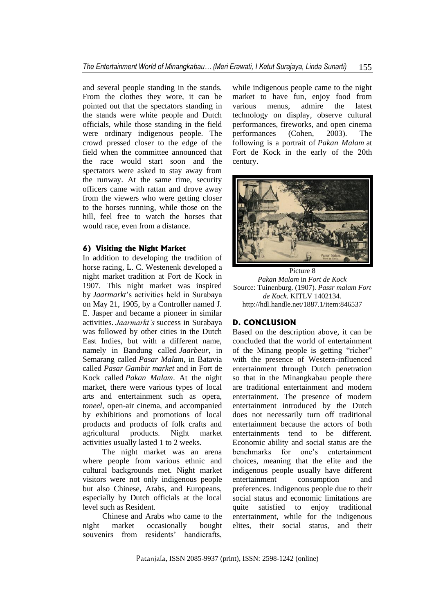and several people standing in the stands. From the clothes they wore, it can be pointed out that the spectators standing in the stands were white people and Dutch officials, while those standing in the field were ordinary indigenous people. The crowd pressed closer to the edge of the field when the committee announced that the race would start soon and the spectators were asked to stay away from the runway. At the same time, security officers came with rattan and drove away from the viewers who were getting closer to the horses running, while those on the hill, feel free to watch the horses that would race, even from a distance.

## **6) Visiting the Night Market**

In addition to developing the tradition of horse racing, L. C. Westenenk developed a night market tradition at Fort de Kock in 1907. This night market was inspired by *Jaarmarkt*'s activities held in Surabaya on May 21, 1905, by a Controller named J. E. Jasper and became a pioneer in similar activities. *Jaarmarkt's* success in Surabaya was followed by other cities in the Dutch East Indies, but with a different name, namely in Bandung called *Jaarbeur*, in Semarang called *Pasar Malam*, in Batavia called *Pasar Gambir market* and in Fort de Kock called *Pakan Malam*. At the night market, there were various types of local arts and entertainment such as opera, *toneel,* open-air cinema, and accompanied by exhibitions and promotions of local products and products of folk crafts and agricultural products. Night market activities usually lasted 1 to 2 weeks.

The night market was an arena where people from various ethnic and cultural backgrounds met. Night market visitors were not only indigenous people but also Chinese, Arabs, and Europeans, especially by Dutch officials at the local level such as Resident.

Chinese and Arabs who came to the night market occasionally bought souvenirs from residents' handicrafts,

while indigenous people came to the night market to have fun, enjoy food from various menus, admire the latest technology on display, observe cultural performances, fireworks, and open cinema performances (Cohen, 2003). The following is a portrait of *Pakan Malam* at Fort de Kock in the early of the 20th century.



Picture 8 *Pakan Malam* in *Fort de Kock* Source: Tuinenburg. (1907). *Passr malam Fort de Kock*. KITLV 1402134. http://hdl.handle.net/1887.1/item:846537

## **D. CONCLUSION**

Based on the description above, it can be concluded that the world of entertainment of the Minang people is getting "richer" with the presence of Western-influenced entertainment through Dutch penetration so that in the Minangkabau people there are traditional entertainment and modern entertainment. The presence of modern entertainment introduced by the Dutch does not necessarily turn off traditional entertainment because the actors of both entertainments tend to be different. Economic ability and social status are the benchmarks for one's entertainment choices, meaning that the elite and the indigenous people usually have different entertainment consumption and preferences. Indigenous people due to their social status and economic limitations are quite satisfied to enjoy traditional entertainment, while for the indigenous elites, their social status, and their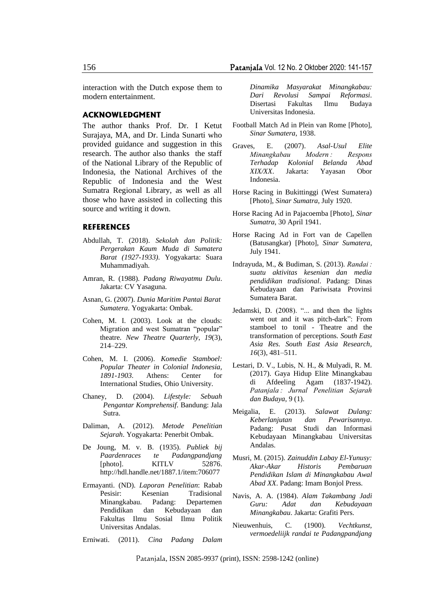interaction with the Dutch expose them to modern entertainment.

#### **ACKNOWLEDGMENT**

The author thanks Prof. Dr. I Ketut Surajaya, MA, and Dr. Linda Sunarti who provided guidance and suggestion in this research. The author also thanks the staff of the National Library of the Republic of Indonesia, the National Archives of the Republic of Indonesia and the West Sumatra Regional Library, as well as all those who have assisted in collecting this source and writing it down.

#### **REFERENCES**

- Abdullah, T. (2018). *Sekolah dan Politik: Pergerakan Kaum Muda di Sumatera Barat (1927-1933)*. Yogyakarta: Suara Muhammadiyah.
- Amran, R. (1988). *Padang Riwayatmu Dulu*. Jakarta: CV Yasaguna.
- Asnan, G. (2007). *Dunia Maritim Pantai Barat Sumatera*. Yogyakarta: Ombak.
- Cohen, M. I. (2003). Look at the clouds: Migration and west Sumatran "popular" theatre. *New Theatre Quarterly*, *19*(3), 214–229.
- Cohen, M. I. (2006). *Komedie Stamboel: Popular Theater in Colonial Indonesia, 1891-1903*. Athens: Center for International Studies, Ohio University.
- Chaney, D. (2004). *Lifestyle: Sebuah Pengantar Komprehensif*. Bandung: Jala Sutra.
- Daliman, A. (2012). *Metode Penelitian Sejarah*. Yogyakarta: Penerbit Ombak.
- De Joung, M. v. B. (1935). *Publiek bij Paardenraces te Padangpandjang* [photo]. KITLV 52876. http://hdl.handle.net/1887.1/item:706077
- Ermayanti. (ND). *Laporan Penelitian*: Rabab Pesisir: Kesenian Tradisional Minangkabau. Padang: Departemen Pendidikan dan Kebudayaan dan Fakultas Ilmu Sosial Ilmu Politik Universitas Andalas.

Erniwati. (2011). *Cina Padang Dalam* 

*Dinamika Masyarakat Minangkabau: Dari Revolusi Sampai Reformasi*. Disertasi Fakultas Ilmu Budaya Universitas Indonesia.

- Football Match Ad in Plein van Rome [Photo], *Sinar Sumatera*, 1938.
- Graves, E. (2007). *Asal-Usul Elite Minangkabau Modern : Respons Terhadap Kolonial Belanda Abad XIX/XX*. Jakarta: Yayasan Obor Indonesia.
- Horse Racing in Bukittinggi (West Sumatera) [Photo], *Sinar Sumatra*, July 1920.
- Horse Racing Ad in Pajacoemba [Photo], *Sinar Sumatra*, 30 April 1941.
- Horse Racing Ad in Fort van de Capellen (Batusangkar) [Photo], *Sinar Sumatera*, July 1941.
- Indrayuda, M., & Budiman, S. (2013). *Randai : suatu aktivitas kesenian dan media pendidikan tradisional*. Padang: Dinas Kebudayaan dan Pariwisata Provinsi Sumatera Barat.
- Jedamski, D. (2008). "... and then the lights went out and it was pitch-dark": From stamboel to tonil - Theatre and the transformation of perceptions. *South East Asia Res. South East Asia Research*, *16*(3), 481–511.
- Lestari, D. V., Lubis, N. H., & Mulyadi, R. M. (2017). Gaya Hidup Elite Minangkabau di Afdeeling Agam (1837-1942). *Patanjala : Jurnal Penelitian Sejarah dan Budaya*, 9 (1).
- Meigalia, E. (2013). *Salawat Dulang: Keberlanjutan dan Pewarisannya*. Padang: Pusat Studi dan Informasi Kebudayaan Minangkabau Universitas Andalas.
- Musri, M. (2015). *Zainuddin Labay El-Yunusy: Akar-Akar Historis Pembaruan Pendidikan Islam di Minangkabau Awal Abad XX*. Padang: Imam Bonjol Press.
- Navis, A. A. (1984). *Alam Takambang Jadi Guru: Adat dan Kebudayaan Minangkabau*. Jakarta: Grafiti Pers.
- Nieuwenhuis, C. (1900). *Vechtkunst, vermoedeliijk randai te Padangpandjang*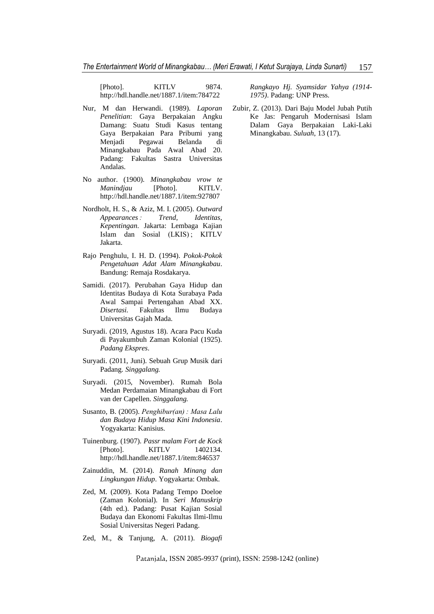[Photo]. KITLV 9874. http://hdl.handle.net/1887.1/item:784722

- Nur, M dan Herwandi. (1989). *Laporan Penelitian*: Gaya Berpakaian Angku Damang: Suatu Studi Kasus tentang Gaya Berpakaian Para Pribumi yang Menjadi Pegawai Belanda di Minangkabau Pada Awal Abad 20. Padang: Fakultas Sastra Universitas Andalas.
- No author. (1900). *Minangkabau vrow te Manindjau* [Photo]. KITLV. http://hdl.handle.net/1887.1/item:927807
- Nordholt, H. S., & Aziz, M. I. (2005). *Outward Appearances : Trend, Identitas, Kepentingan*. Jakarta: Lembaga Kajian Islam dan Sosial (LKIS) ; KITLV Jakarta.
- Rajo Penghulu, I. H. D. (1994). *Pokok-Pokok Pengetahuan Adat Alam Minangkabau*. Bandung: Remaja Rosdakarya.
- Samidi. (2017). Perubahan Gaya Hidup dan Identitas Budaya di Kota Surabaya Pada Awal Sampai Pertengahan Abad XX. *Disertasi.* Fakultas Ilmu Budaya Universitas Gajah Mada.
- Suryadi. (2019, Agustus 18). Acara Pacu Kuda di Payakumbuh Zaman Kolonial (1925). *Padang Ekspres*.
- Suryadi. (2011, Juni). Sebuah Grup Musik dari Padang. *Singgalang.*
- Suryadi. (2015, November). Rumah Bola Medan Perdamaian Minangkabau di Fort van der Capellen. *Singgalang.*
- Susanto, B. (2005). *Penghibur(an) : Masa Lalu dan Budaya Hidup Masa Kini Indonesia*. Yogyakarta: Kanisius.
- Tuinenburg. (1907). *Passr malam Fort de Kock* [Photo]. KITLV 1402134. http://hdl.handle.net/1887.1/item:846537
- Zainuddin, M. (2014). *Ranah Minang dan Lingkungan Hidup*. Yogyakarta: Ombak.
- Zed, M. (2009). Kota Padang Tempo Doeloe (Zaman Kolonial). In *Seri Manuskrip* (4th ed.). Padang: Pusat Kajian Sosial Budaya dan Ekonomi Fakultas Ilmi-Ilmu Sosial Universitas Negeri Padang.
- Zed, M., & Tanjung, A. (2011). *Biogafi*

*Rangkayo Hj. Syamsidar Yahya (1914- 1975)*. Padang: UNP Press.

Zubir, Z. (2013). Dari Baju Model Jubah Putih Ke Jas: Pengaruh Modernisasi Islam Dalam Gaya Berpakaian Laki-Laki Minangkabau. *Suluah*, 13 (17).